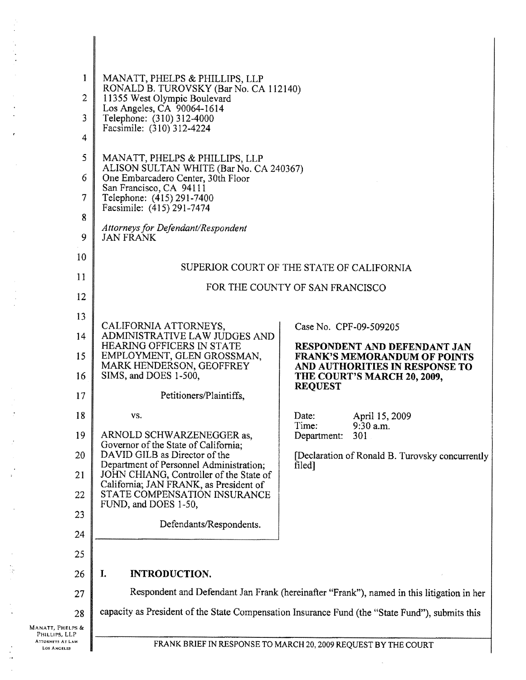| 1                                             | MANATT, PHELPS & PHILLIPS, LLP<br>RONALD B. TUROVSKY (Bar No. CA 112140)                        |                                                                                                       |  |
|-----------------------------------------------|-------------------------------------------------------------------------------------------------|-------------------------------------------------------------------------------------------------------|--|
| $\overline{c}$                                | 11355 West Olympic Boulevard                                                                    |                                                                                                       |  |
| 3                                             | Los Angeles, CA 90064-1614<br>Telephone: (310) 312-4000<br>Facsimile: (310) 312-4224            |                                                                                                       |  |
| 4                                             |                                                                                                 |                                                                                                       |  |
| 5                                             | MANATT, PHELPS & PHILLIPS, LLP                                                                  |                                                                                                       |  |
| 6                                             | ALISON SULTAN WHITE (Bar No. CA 240367)<br>One Embarcadero Center, 30th Floor                   |                                                                                                       |  |
| 7                                             | San Francisco, CA 94111<br>Telephone: (415) 291-7400<br>Facsimile: (415) 291-7474               |                                                                                                       |  |
| 8                                             | Attorneys for Defendant/Respondent                                                              |                                                                                                       |  |
| 9                                             | <b>JAN FRANK</b>                                                                                |                                                                                                       |  |
| 10                                            | SUPERIOR COURT OF THE STATE OF CALIFORNIA                                                       |                                                                                                       |  |
| 11                                            |                                                                                                 |                                                                                                       |  |
| 12                                            | FOR THE COUNTY OF SAN FRANCISCO                                                                 |                                                                                                       |  |
| 13                                            |                                                                                                 |                                                                                                       |  |
| 14                                            | CALIFORNIA ATTORNEYS,<br>ADMINISTRATIVE LAW JUDGES AND                                          | Case No. CPF-09-509205                                                                                |  |
| 15                                            | HEARING OFFICERS IN STATE<br>EMPLOYMENT, GLEN GROSSMAN,<br>MARK HENDERSON, GEOFFREY             | RESPONDENT AND DEFENDANT JAN<br><b>FRANK'S MEMORANDUM OF POINTS</b><br>AND AUTHORITIES IN RESPONSE TO |  |
| 16                                            | SIMS, and DOES 1-500,                                                                           | THE COURT'S MARCH 20, 2009,                                                                           |  |
| 17                                            | Petitioners/Plaintiffs.                                                                         | <b>REQUEST</b>                                                                                        |  |
| 18                                            | VS.                                                                                             | Date:<br>April 15, 2009                                                                               |  |
| 19                                            | ARNOLD SCHWARZENEGGER as,                                                                       | Time:<br>$9:30$ a.m.<br>301<br>Department:                                                            |  |
| 20                                            | Governor of the State of California;<br>DAVID GILB as Director of the                           | [Declaration of Ronald B. Turovsky concurrently                                                       |  |
| 21                                            | Department of Personnel Administration;<br>JOHN CHIANG, Controller of the State of              | filed]                                                                                                |  |
| 22                                            | California; JAN FRANK, as President of<br>STATE COMPENSATION INSURANCE                          |                                                                                                       |  |
| 23                                            | FUND, and DOES 1-50,                                                                            |                                                                                                       |  |
| 24                                            | Defendants/Respondents.                                                                         |                                                                                                       |  |
| 25                                            |                                                                                                 |                                                                                                       |  |
| 26                                            | I.<br><b>INTRODUCTION.</b>                                                                      |                                                                                                       |  |
| 27                                            | Respondent and Defendant Jan Frank (hereinafter "Frank"), named in this litigation in her       |                                                                                                       |  |
| 28                                            | capacity as President of the State Compensation Insurance Fund (the "State Fund"), submits this |                                                                                                       |  |
| Manatt, Phelps &<br>PHILLIPS, LLP             |                                                                                                 |                                                                                                       |  |
| <b>ATTORNEYS AT LAW</b><br><b>LOS ANGELES</b> |                                                                                                 | FRANK BRIEF IN RESPONSE TO MARCH 20, 2009 REQUEST BY THE COURT                                        |  |

 $\bar{a}$ 

 $\bar{\gamma}$ Ŕ

 $\cdot$  $\ddot{\phantom{a}}$ 

 $\hat{\mathbf{r}}$  $\ddot{\phantom{1}}$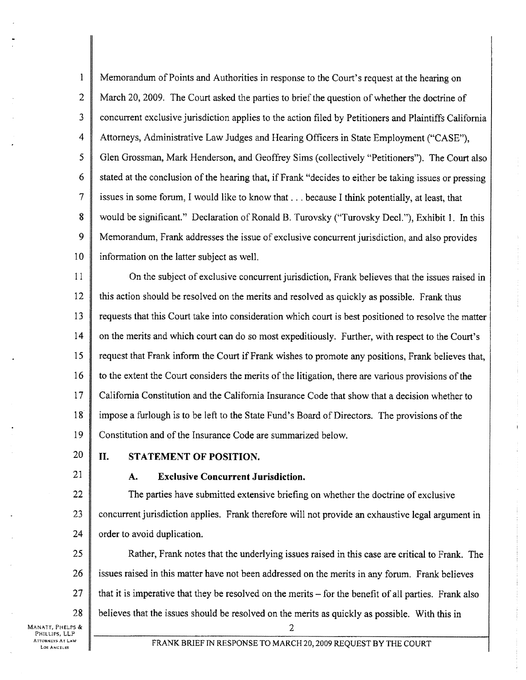<sup>1</sup> Memorandum of Points and Authorities in response to the Court's request at the hearing on 2 March 20, 2009. The Court asked the parties to brief the question of whether the doctrine of <sup>3</sup> concurrent exclusive jurisdiction applies to the action filed by Petitioners and Plaintiffs California 4 Attorneys, Administrative Law Judges and Hearing Officers in State Employment ("CASE"), <sup>5</sup> Glen Grossman, Mark Henderson, and Geoffrey Sims (collectively "Petitioners"). The Court also 6  $\parallel$  stated at the conclusion of the hearing that, if Frank "decides to either be taking issues or pressing 7 issues in some forum, I would like to know that. . . because <sup>I</sup> think potentially, at least, that 8 would be significant." Declaration of Ronald B. Turovsky ("Turovsky Decl."), Exhibit 1. In this 9 Memorandum, Frank addresses the issue of exclusive concurrent jurisdiction, and also provides 10 | information on the latter subject as well.

11 On the subject of exclusive concurrent jurisdiction, Frank believes that the issues raised in 12 this action should be resolved on the merits and resolved as quickly as possible. Frank thus 13 requests that this Court take into consideration which court is best positioned to resolve the matter 14 on the merits and which court can do so most expeditiously. Further, with respect to the Court's 15 Trequest that Frank inform the Court if Frank wishes to promote any positions, Frank believes that, 16 to the extent the Court considers the merits of the litigation, there are various provisions of the 17 California Constitution and the California Insurance Code that show that a decision whether to 18 impose a furlough is to be left to the State Fund's Board of Directors. The provisions of the 19 Constitution and of the Insurance Code are summarized below.

## 20 | II. STATEMENT OF POSITION.

## 21 **A.** Exclusive Concurrent Jurisdiction.

22 The parties have submitted extensive briefing on whether the doctrine of exclusive 23 concurrent jurisdiction applies. Frank therefore will not provide an exhaustive legal argument in 24  $\parallel$  order to avoid duplication.

**Rather, Frank notes that the underlying issues raised in this case are critical to Frank.** The 26 issues raised in this matter have not been addressed on the merits in any forum. Frank believes  $\parallel$  that it is imperative that they be resolved on the merits – for the benefit of all parties. Frank also | believes that the issues should be resolved on the merits as quickly as possible. With this in

MANATT, PHELPS & 2 PHILLIPS, LLP **ATTORNEYS AT LAW** 

IORNEYS AT LAW FRANK BRIEF IN RESPONSE TO MARCH 20, 2009 REQUEST BY THE COURT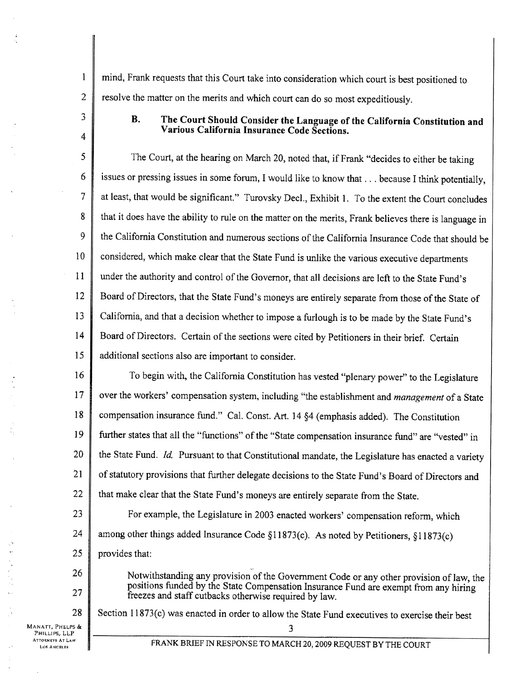1 mind, Frank requests that this Court take into consideration which court is best positioned to 2 resolve the matter on the merits and which court can do so most expeditiously.

## $3 \parallel$  B. The Court Should Consider the Language of the California Constitution and  $\begin{array}{c|c} \hline \end{array}$  Various California Insurance Code Sections.

<sup>5</sup> The Court, at the hearing on March 20, noted that, if Frank "decides to either be taking 6 issues or pressing issues in some forum, I would like to know that... because I think potentially, 7 at least, that would be significant." Turovsky Decl., Exhibit 1. To the extent the Court concludes 8 that it does have the ability to rule on the matter on the merits, Frank believes there is language in 9 the California Constitution and numerous sections of the California Insurance Code that should be 10 considered, which make clear that the State Fund is unlike the various executive departments 11 under the authority and control of the Governor, that all decisions are left to the State Fund's 12 Board of Directors, that the State Fund's moneys are entirely separate from those of the State of 13 California, and that a decision whether to impose a furlough is to be made by the State Fund's 14 Board of Directors. Certain of the sections were cited by Petitioners in their brief. Certain 15 additional sections also are important to consider.

16 To begin with, the California Constitution has vested "plenary power" to the Legislature 17 over the workers' compensation system, including "the establishment and *management* of a State 18 compensation insurance fund." Cal. Const. Art. 14 §4 (emphasis added). The Constitution <sup>19</sup> further states that all the "functions" of the "State compensation insurance fund" are "vested" in 20  $\parallel$  the State Fund. Id. Pursuant to that Constitutional mandate, the Legislature has enacted a variety 21 of statutory provisions that further delegate decisions to the State Fund's Board of Directors and 22  $\parallel$  that make clear that the State Fund's moneys are entirely separate from the State.

23 **For example, the Legislature in 2003 enacted workers' compensation reform, which** 24  $\parallel$  among other things added Insurance Code §11873(c). As noted by Petitioners, §11873(c) 25 provides that:

26 Notwithstanding any provision of the Government Code or any other provision of law, the positions funded by the State Compensation Insurance Fund are exempt from any hiring freezes and staff cutbacks otherwise required by law.

MANATT, PHELPS & 3<br>
PHILLIPS, LLP 3

ATTORNEYS AT LAW

28 Section 11873(c) was enacted in order to allow the State Fund executives to exercise their best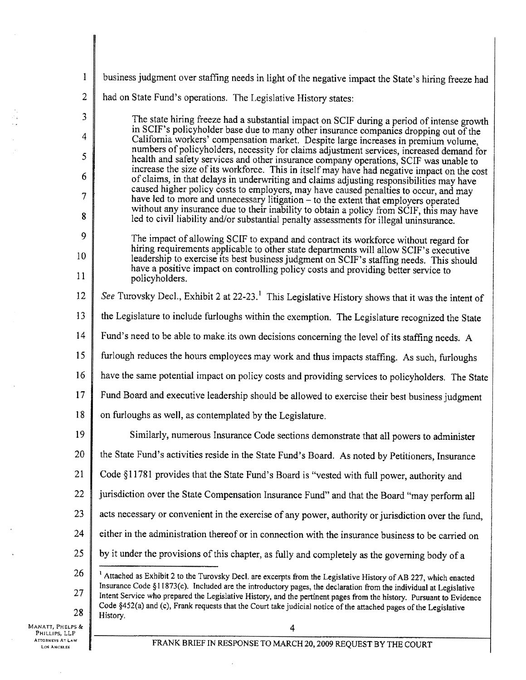| 1                                        | business judgment over staffing needs in light of the negative impact the State's hiring freeze had                                                                                                                                                                                                                                                               |  |  |
|------------------------------------------|-------------------------------------------------------------------------------------------------------------------------------------------------------------------------------------------------------------------------------------------------------------------------------------------------------------------------------------------------------------------|--|--|
| $\overline{2}$                           | had on State Fund's operations. The Legislative History states:                                                                                                                                                                                                                                                                                                   |  |  |
| 3                                        | The state hiring freeze had a substantial impact on SCIF during a period of intense growth                                                                                                                                                                                                                                                                        |  |  |
| 4                                        | in SCIF's policyholder base due to many other insurance companies dropping out of the<br>California workers' compensation market. Despite large increases in premium volume,<br>numbers of policyholders, necessity for claims adjustment services, increased demand for<br>health and safety services and other insurance company operations, SCIF was unable to |  |  |
| 5                                        |                                                                                                                                                                                                                                                                                                                                                                   |  |  |
| 6                                        | increase the size of its workforce. This in itself may have had negative impact on the cost<br>of claims, in that delays in underwriting and claims adjusting responsibilities may have                                                                                                                                                                           |  |  |
| $\overline{7}$                           | caused higher policy costs to employers, may have caused penalties to occur, and may<br>have led to more and unnecessary litigation - to the extent that employers operated                                                                                                                                                                                       |  |  |
| 8                                        | without any insurance due to their inability to obtain a policy from SCIF, this may have<br>led to civil liability and/or substantial penalty assessments for illegal uninsurance.                                                                                                                                                                                |  |  |
| 9                                        | The impact of allowing SCIF to expand and contract its workforce without regard for                                                                                                                                                                                                                                                                               |  |  |
| 10                                       | hiring requirements applicable to other state departments will allow SCIF's executive<br>leadership to exercise its best business judgment on SCIF's staffing needs. This should<br>have a positive impact on controlling policy costs and providing better service to<br>policyholders.                                                                          |  |  |
| 11                                       |                                                                                                                                                                                                                                                                                                                                                                   |  |  |
| 12                                       | See Turovsky Decl., Exhibit 2 at 22-23. <sup>1</sup> This Legislative History shows that it was the intent of                                                                                                                                                                                                                                                     |  |  |
| 13                                       | the Legislature to include furloughs within the exemption. The Legislature recognized the State                                                                                                                                                                                                                                                                   |  |  |
| 14                                       | Fund's need to be able to make its own decisions concerning the level of its staffing needs. A                                                                                                                                                                                                                                                                    |  |  |
| 15                                       | furlough reduces the hours employees may work and thus impacts staffing. As such, furloughs                                                                                                                                                                                                                                                                       |  |  |
| 16                                       | have the same potential impact on policy costs and providing services to policyholders. The State                                                                                                                                                                                                                                                                 |  |  |
| 17                                       | Fund Board and executive leadership should be allowed to exercise their best business judgment                                                                                                                                                                                                                                                                    |  |  |
| 18                                       | on furloughs as well, as contemplated by the Legislature.                                                                                                                                                                                                                                                                                                         |  |  |
| 19                                       | Similarly, numerous Insurance Code sections demonstrate that all powers to administer                                                                                                                                                                                                                                                                             |  |  |
| 20                                       | the State Fund's activities reside in the State Fund's Board. As noted by Petitioners, Insurance                                                                                                                                                                                                                                                                  |  |  |
| 21                                       | Code §11781 provides that the State Fund's Board is "vested with full power, authority and                                                                                                                                                                                                                                                                        |  |  |
| 22                                       | jurisdiction over the State Compensation Insurance Fund" and that the Board "may perform all                                                                                                                                                                                                                                                                      |  |  |
| 23                                       | acts necessary or convenient in the exercise of any power, authority or jurisdiction over the fund,                                                                                                                                                                                                                                                               |  |  |
| 24                                       | either in the administration thereof or in connection with the insurance business to be carried on                                                                                                                                                                                                                                                                |  |  |
| 25                                       | by it under the provisions of this chapter, as fully and completely as the governing body of a                                                                                                                                                                                                                                                                    |  |  |
| 26                                       | <sup>1</sup> Attached as Exhibit 2 to the Turovsky Decl. are excerpts from the Legislative History of AB 227, which enacted                                                                                                                                                                                                                                       |  |  |
| 27                                       | Insurance Code §11873(c). Included are the introductory pages, the declaration from the individual at Legislative<br>Intent Service who prepared the Legislative History, and the pertinent pages from the history. Pursuant to Evidence<br>Code §452(a) and (c), Frank requests that the Court take judicial notice of the attached pages of the Legislative     |  |  |
| 28<br>MANATT, PHELPS &                   | History.                                                                                                                                                                                                                                                                                                                                                          |  |  |
| Phillips, LLP<br><b>ATTORNEYS AT LAW</b> | 4                                                                                                                                                                                                                                                                                                                                                                 |  |  |
| <b>LOS ANGELES</b>                       | FRANK BRIEF IN RESPONSE TO MARCH 20, 2009 REQUEST BY THE COURT                                                                                                                                                                                                                                                                                                    |  |  |

 $\sim$ 

 $\ddot{\phantom{a}}$ 

 $\bar{ }$ 

 $\sim$   $\sim$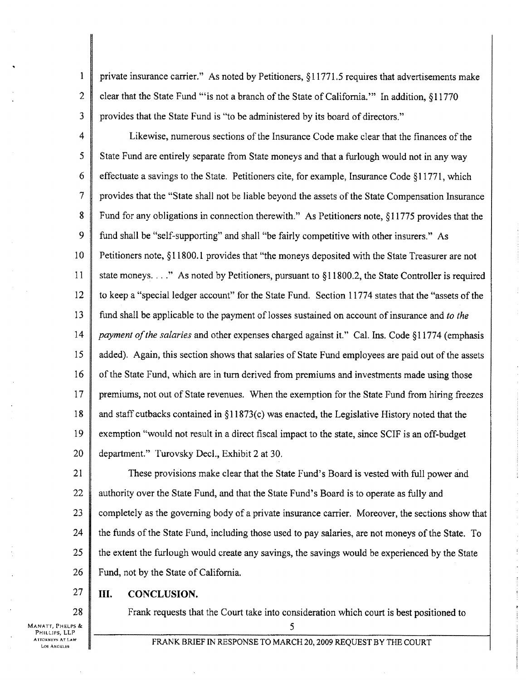<sup>I</sup> private insurance carrier." As noted by Petitioners, §11771.5 requires that advertisements make 2 clear that the State Fund "is not a branch of the State of California." In addition,  $\S11770$ 3 provides that the State Fund is "to be administered by its board of directors."

4 Likewise, numerous sections of the Insurance Code make clear that the finances of the 5 State Fund are entirely separate from State moneys and that a furlough would not in any way 6 effectuate a savings to the State. Petitioners cite, for example, Insurance Code §11771, which 7 provides that the "State shall not be liable beyond the assets of the State Compensation Insurance 8 Fund for any obligations in connection therewith." As Petitioners note, §11775 provides that the 9 fund shall be "self-supporting" and shall "be fairly competitive with other insurers." As 10 Petitioners note, §11800.1 provides that "the moneys deposited with the State Treasurer are not 11 state moneys. . . ." As noted by Petitioners, pursuant to §11800.2, the State Controller is required 12 to keep a "special ledger account" for the State Fund. Section 11774 states that the "assets of the 13 fund shall be applicable to the payment of losses sustained on account of insurance and to the 14 | payment of the salaries and other expenses charged against it." Cal. Ins. Code §11774 (emphasis <sup>15</sup> added). Again, this section shows that salaries of State Fund employees are paid out of the assets 16 of the State Fund, which are in turn derived from premiums and investments made using those 17 premiums, not out of State revenues. When the exemption for the State Fund from hiring freezes 18 and staff cutbacks contained in §11873(c) was enacted, the Legislative History noted that the 19 exemption "would not result in a direct fiscal impact to the state, since SCIF is an off-budget 20 department." Turovsky Decl., Exhibit 2 at 30.

21 These provisions make clear that the State Fund's Board is vested with full power and 22 authority over the State Fund, and that the State Fund's Board is to operate as fully and 23 completely as the governing body of a private insurance carrier. Moreover, the sections show that 24 the funds of the State Fund, including those used to pay salaries, are not moneys of the State. To 25 the extent the furlough would create any savings, the savings would be experienced by the State 26 Fund, not by the State of California.

## $27$  | III. CONCLUSION.

28 Frank requests that the Court take into consideration which court is best positioned to

MANATT, PHELPS &  $\parallel$  5 PHILLIPS, LLP **TTORNEYS AT LAW**<br>Los Angeles

FRANK BRIEF IN RESPONSE TO MARCH 20, 2009 REQUEST BY THE COURT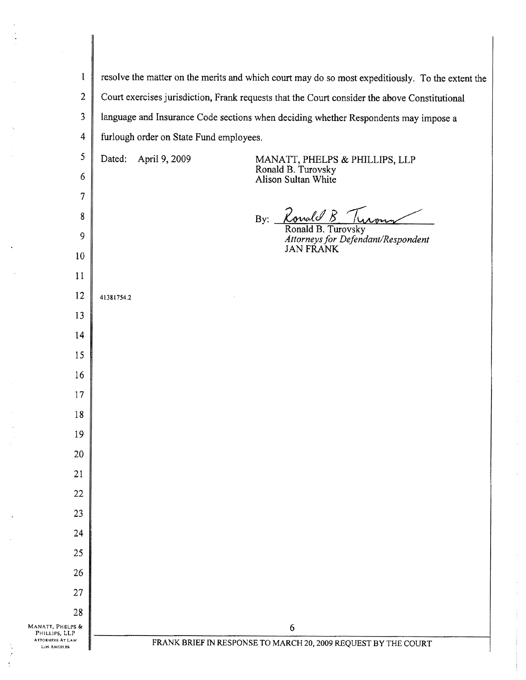| $\mathbf{I}$                                                 | resolve the matter on the merits and which court may do so most expeditiously. To the extent the |                                                                             |  |
|--------------------------------------------------------------|--------------------------------------------------------------------------------------------------|-----------------------------------------------------------------------------|--|
| $\overline{2}$                                               | Court exercises jurisdiction, Frank requests that the Court consider the above Constitutional    |                                                                             |  |
| $\mathfrak{Z}$                                               | language and Insurance Code sections when deciding whether Respondents may impose a              |                                                                             |  |
| $\overline{4}$                                               | furlough order on State Fund employees.                                                          |                                                                             |  |
| 5                                                            | April 9, 2009<br>Dated:                                                                          | MANATT, PHELPS & PHILLIPS, LLP<br>Ronald B. Turovsky<br>Alison Sultan White |  |
| 6                                                            |                                                                                                  |                                                                             |  |
| 7                                                            |                                                                                                  |                                                                             |  |
| 8                                                            |                                                                                                  | Ronald B<br>By: $\overline{\phantom{0}}$<br>Ronald B. Turovsky              |  |
| 9                                                            |                                                                                                  | Attorneys for Defendant/Respondent<br><b>JAN FRANK</b>                      |  |
| 10                                                           |                                                                                                  |                                                                             |  |
| 11                                                           |                                                                                                  |                                                                             |  |
| 12                                                           | 41381754.2                                                                                       |                                                                             |  |
| 13                                                           |                                                                                                  |                                                                             |  |
| 14                                                           |                                                                                                  |                                                                             |  |
| 15                                                           |                                                                                                  |                                                                             |  |
| 16                                                           |                                                                                                  |                                                                             |  |
| 17                                                           |                                                                                                  |                                                                             |  |
| 18<br>19                                                     |                                                                                                  |                                                                             |  |
| 20                                                           |                                                                                                  |                                                                             |  |
| 21                                                           |                                                                                                  |                                                                             |  |
| 22                                                           |                                                                                                  |                                                                             |  |
| 23                                                           |                                                                                                  |                                                                             |  |
| 24                                                           |                                                                                                  |                                                                             |  |
| 25                                                           |                                                                                                  |                                                                             |  |
| 26                                                           |                                                                                                  |                                                                             |  |
| 27                                                           |                                                                                                  |                                                                             |  |
| 28                                                           |                                                                                                  |                                                                             |  |
| MANATT, PHELPS &<br>PHILLIPS, LLP<br><b>ATTORNEYS AT LAW</b> |                                                                                                  | 6<br>FRANK BRIEF IN RESPONSE TO MARCH 20, 2009 REQUEST BY THE COURT         |  |
| LOS ANGELES                                                  |                                                                                                  |                                                                             |  |